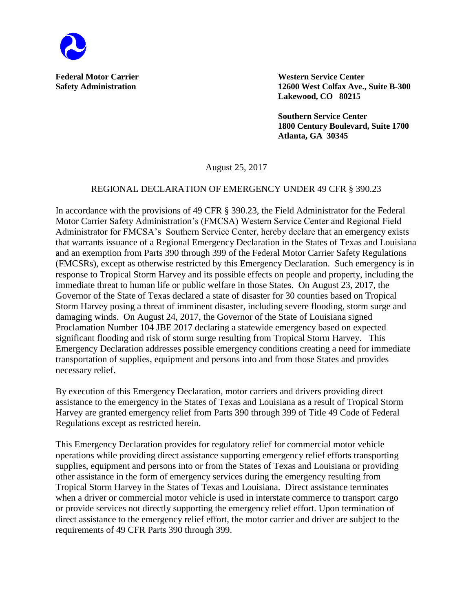

**Federal Motor Carrier Western Service Center Safety Administration 12600 West Colfax Ave., Suite B-300 Lakewood, CO 80215**

> **Southern Service Center 1800 Century Boulevard, Suite 1700 Atlanta, GA 30345**

August 25, 2017

## REGIONAL DECLARATION OF EMERGENCY UNDER 49 CFR § 390.23

In accordance with the provisions of 49 CFR § 390.23, the Field Administrator for the Federal Motor Carrier Safety Administration's (FMCSA) Western Service Center and Regional Field Administrator for FMCSA's Southern Service Center, hereby declare that an emergency exists that warrants issuance of a Regional Emergency Declaration in the States of Texas and Louisiana and an exemption from Parts 390 through 399 of the Federal Motor Carrier Safety Regulations (FMCSRs), except as otherwise restricted by this Emergency Declaration. Such emergency is in response to Tropical Storm Harvey and its possible effects on people and property, including the immediate threat to human life or public welfare in those States. On August 23, 2017, the Governor of the State of Texas declared a state of disaster for 30 counties based on Tropical Storm Harvey posing a threat of imminent disaster, including severe flooding, storm surge and damaging winds. On August 24, 2017, the Governor of the State of Louisiana signed Proclamation Number 104 JBE 2017 declaring a statewide emergency based on expected significant flooding and risk of storm surge resulting from Tropical Storm Harvey. This Emergency Declaration addresses possible emergency conditions creating a need for immediate transportation of supplies, equipment and persons into and from those States and provides necessary relief.

By execution of this Emergency Declaration, motor carriers and drivers providing direct assistance to the emergency in the States of Texas and Louisiana as a result of Tropical Storm Harvey are granted emergency relief from Parts 390 through 399 of Title 49 Code of Federal Regulations except as restricted herein.

This Emergency Declaration provides for regulatory relief for commercial motor vehicle operations while providing direct assistance supporting emergency relief efforts transporting supplies, equipment and persons into or from the States of Texas and Louisiana or providing other assistance in the form of emergency services during the emergency resulting from Tropical Storm Harvey in the States of Texas and Louisiana. Direct assistance terminates when a driver or commercial motor vehicle is used in interstate commerce to transport cargo or provide services not directly supporting the emergency relief effort. Upon termination of direct assistance to the emergency relief effort, the motor carrier and driver are subject to the requirements of 49 CFR Parts 390 through 399.